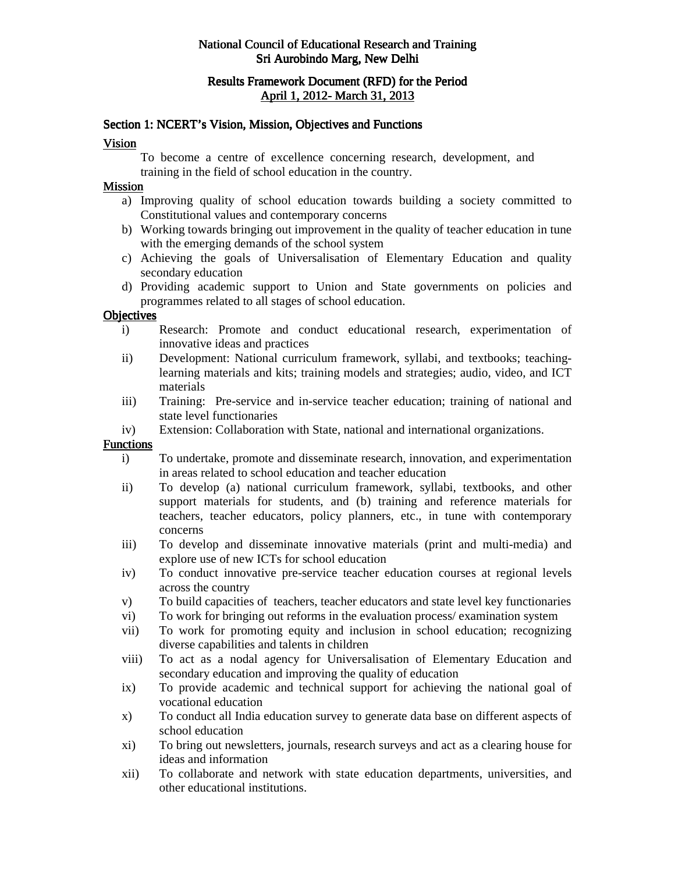#### National Council of Educational Research and Training Sri Aurobindo Marg, New Delhi

#### Results Framework Document (RFD) for the Period April 1, 2012- March 31, 2013

#### Section 1: NCERT's Vision, Mission, Objectives and Functions

#### Vision

To become a centre of excellence concerning research, development, and training in the field of school education in the country.

#### Mission

- a) Improving quality of school education towards building a society committed to Constitutional values and contemporary concerns
- b) Working towards bringing out improvement in the quality of teacher education in tune with the emerging demands of the school system
- c) Achieving the goals of Universalisation of Elementary Education and quality secondary education
- d) Providing academic support to Union and State governments on policies and programmes related to all stages of school education.

#### **Objectives**

- i) Research: Promote and conduct educational research, experimentation of innovative ideas and practices
- ii) Development: National curriculum framework, syllabi, and textbooks; teachinglearning materials and kits; training models and strategies; audio, video, and ICT materials
- iii) Training: Pre-service and in-service teacher education; training of national and state level functionaries
- iv) Extension: Collaboration with State, national and international organizations.

#### **Functions**

- i) To undertake, promote and disseminate research, innovation, and experimentation in areas related to school education and teacher education
- ii) To develop (a) national curriculum framework, syllabi, textbooks, and other support materials for students, and (b) training and reference materials for teachers, teacher educators, policy planners, etc., in tune with contemporary concerns
- iii) To develop and disseminate innovative materials (print and multi-media) and explore use of new ICTs for school education
- iv) To conduct innovative pre-service teacher education courses at regional levels across the country
- v) To build capacities of teachers, teacher educators and state level key functionaries
- vi) To work for bringing out reforms in the evaluation process/ examination system
- vii) To work for promoting equity and inclusion in school education; recognizing diverse capabilities and talents in children
- viii) To act as a nodal agency for Universalisation of Elementary Education and secondary education and improving the quality of education
- ix) To provide academic and technical support for achieving the national goal of vocational education
- x) To conduct all India education survey to generate data base on different aspects of school education
- xi) To bring out newsletters, journals, research surveys and act as a clearing house for ideas and information
- xii) To collaborate and network with state education departments, universities, and other educational institutions.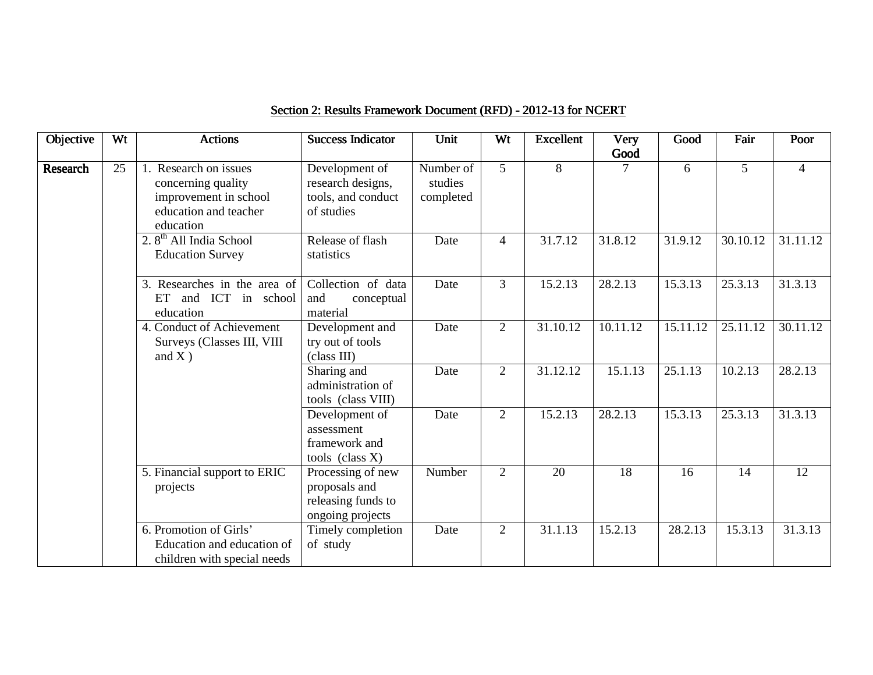| Objective | Wt | <b>Actions</b>                                                                                            | <b>Success Indicator</b>                                                     | Unit                              | Wt              | <b>Excellent</b> | <b>Very</b><br>Good | Good     | Fair     | Poor           |
|-----------|----|-----------------------------------------------------------------------------------------------------------|------------------------------------------------------------------------------|-----------------------------------|-----------------|------------------|---------------------|----------|----------|----------------|
| Research  | 25 | . Research on issues<br>concerning quality<br>improvement in school<br>education and teacher<br>education | Development of<br>research designs,<br>tools, and conduct<br>of studies      | Number of<br>studies<br>completed | $5\overline{)}$ | 8                | 7                   | 6        | 5        | $\overline{4}$ |
|           |    | 2. 8 <sup>th</sup> All India School<br><b>Education Survey</b>                                            | Release of flash<br>statistics                                               | Date                              | $\overline{4}$  | 31.7.12          | 31.8.12             | 31.9.12  | 30.10.12 | 31.11.12       |
|           |    | 3. Researches in the area of<br>and ICT in school<br>ET<br>education                                      | Collection of data<br>and<br>conceptual<br>material                          | Date                              | 3               | 15.2.13          | 28.2.13             | 15.3.13  | 25.3.13  | 31.3.13        |
|           |    | 4. Conduct of Achievement<br>Surveys (Classes III, VIII<br>and $X$ )                                      | Development and<br>try out of tools<br>(class III)                           | Date                              | $\overline{2}$  | 31.10.12         | 10.11.12            | 15.11.12 | 25.11.12 | 30.11.12       |
|           |    |                                                                                                           | Sharing and<br>administration of<br>tools (class VIII)                       | Date                              | $\overline{2}$  | 31.12.12         | 15.1.13             | 25.1.13  | 10.2.13  | 28.2.13        |
|           |    |                                                                                                           | Development of<br>assessment<br>framework and<br>tools $(class X)$           | Date                              | $\overline{2}$  | 15.2.13          | 28.2.13             | 15.3.13  | 25.3.13  | 31.3.13        |
|           |    | 5. Financial support to ERIC<br>projects                                                                  | Processing of new<br>proposals and<br>releasing funds to<br>ongoing projects | Number                            | $\overline{2}$  | 20               | 18                  | 16       | 14       | 12             |
|           |    | 6. Promotion of Girls'<br>Education and education of<br>children with special needs                       | Timely completion<br>of study                                                | Date                              | $\overline{2}$  | 31.1.13          | 15.2.13             | 28.2.13  | 15.3.13  | 31.3.13        |

# Section 2: Results Framework Document (RFD) - 2012-13 for NCERT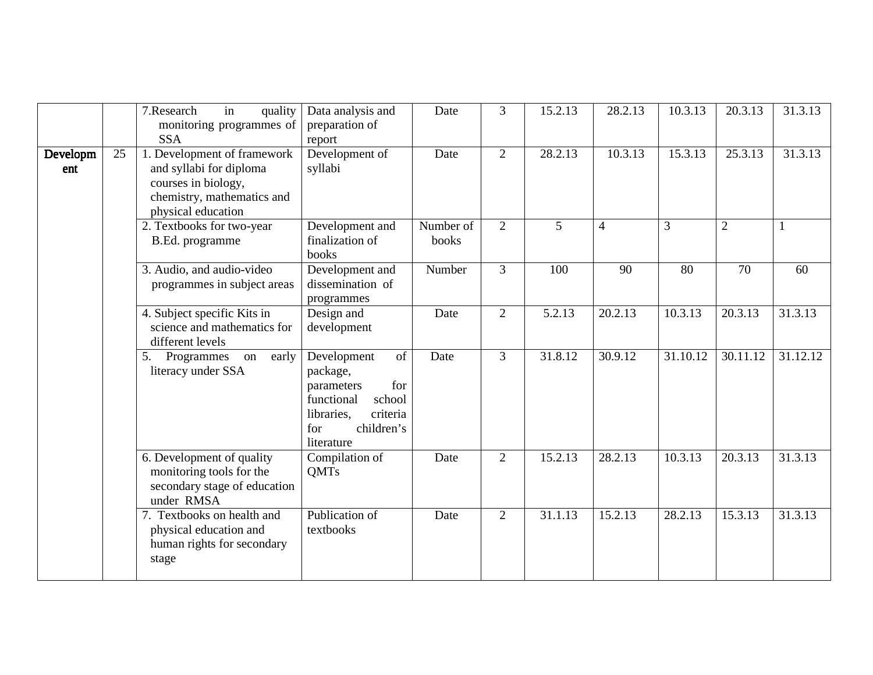|                 |    | 7.Research<br>in<br>quality<br>monitoring programmes of<br><b>SSA</b>                                                             | Data analysis and<br>preparation of<br>report                                                                                           | Date               | 3              | 15.2.13 | 28.2.13 | 10.3.13  | 20.3.13        | 31.3.13  |
|-----------------|----|-----------------------------------------------------------------------------------------------------------------------------------|-----------------------------------------------------------------------------------------------------------------------------------------|--------------------|----------------|---------|---------|----------|----------------|----------|
| Developm<br>ent | 25 | 1. Development of framework<br>and syllabi for diploma<br>courses in biology,<br>chemistry, mathematics and<br>physical education | Development of<br>syllabi                                                                                                               | Date               | $\overline{2}$ | 28.2.13 | 10.3.13 | 15.3.13  | 25.3.13        | 31.3.13  |
|                 |    | 2. Textbooks for two-year<br>B.Ed. programme                                                                                      | Development and<br>finalization of<br>books                                                                                             | Number of<br>books | $\overline{2}$ | 5       | 4       | 3        | $\overline{2}$ |          |
|                 |    | 3. Audio, and audio-video<br>programmes in subject areas                                                                          | Development and<br>dissemination of<br>programmes                                                                                       | Number             | 3              | 100     | 90      | 80       | 70             | 60       |
|                 |    | 4. Subject specific Kits in<br>science and mathematics for<br>different levels                                                    | Design and<br>development                                                                                                               | Date               | $\overline{2}$ | 5.2.13  | 20.2.13 | 10.3.13  | 20.3.13        | 31.3.13  |
|                 |    | 5.<br>early<br>Programmes<br>on<br>literacy under SSA                                                                             | of<br>Development<br>package,<br>for<br>parameters<br>functional<br>school<br>criteria<br>libraries,<br>children's<br>for<br>literature | Date               | 3              | 31.8.12 | 30.9.12 | 31.10.12 | 30.11.12       | 31.12.12 |
|                 |    | 6. Development of quality<br>monitoring tools for the<br>secondary stage of education<br>under RMSA                               | Compilation of<br><b>QMTs</b>                                                                                                           | Date               | $\overline{2}$ | 15.2.13 | 28.2.13 | 10.3.13  | 20.3.13        | 31.3.13  |
|                 |    | 7. Textbooks on health and<br>physical education and<br>human rights for secondary<br>stage                                       | Publication of<br>textbooks                                                                                                             | Date               | $\overline{2}$ | 31.1.13 | 15.2.13 | 28.2.13  | 15.3.13        | 31.3.13  |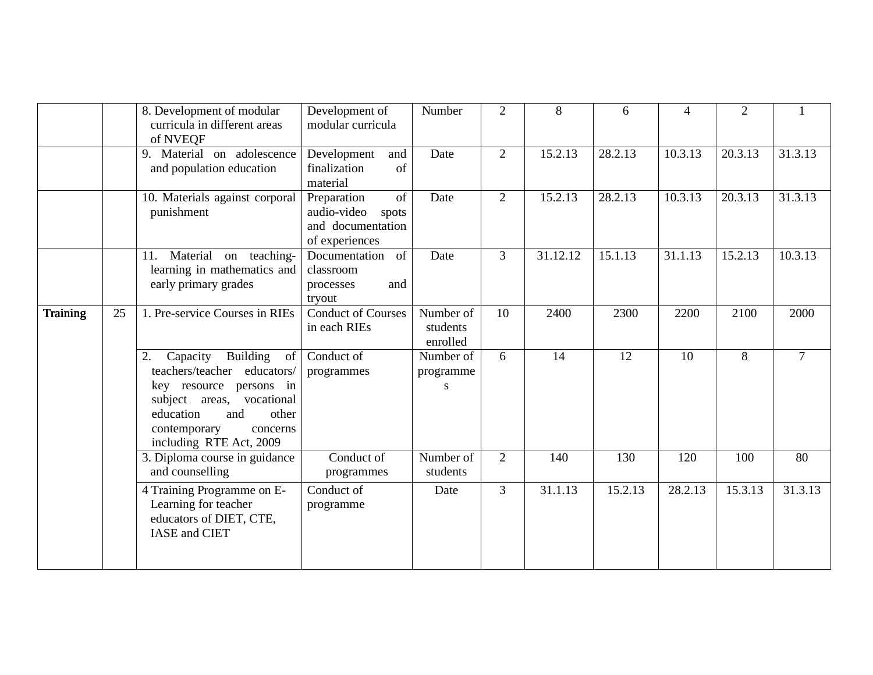|                 |    | 8. Development of modular<br>curricula in different areas<br>of NVEQF                                                                                                                                              | Development of<br>modular curricula                                           | Number                            | 2              | 8        | 6       | 4       | $\overline{2}$ |                |
|-----------------|----|--------------------------------------------------------------------------------------------------------------------------------------------------------------------------------------------------------------------|-------------------------------------------------------------------------------|-----------------------------------|----------------|----------|---------|---------|----------------|----------------|
|                 |    | 9. Material on adolescence<br>and population education                                                                                                                                                             | Development<br>and<br>of<br>finalization<br>material                          | Date                              | 2              | 15.2.13  | 28.2.13 | 10.3.13 | 20.3.13        | 31.3.13        |
|                 |    | 10. Materials against corporal<br>punishment                                                                                                                                                                       | of<br>Preparation<br>audio-video spots<br>and documentation<br>of experiences | Date                              | 2              | 15.2.13  | 28.2.13 | 10.3.13 | 20.3.13        | 31.3.13        |
|                 |    | Material on teaching-<br>11.<br>learning in mathematics and<br>early primary grades                                                                                                                                | of<br>Documentation<br>classroom<br>and<br>processes<br>tryout                | Date                              | $\overline{3}$ | 31.12.12 | 15.1.13 | 31.1.13 | 15.2.13        | 10.3.13        |
| <b>Training</b> | 25 | 1. Pre-service Courses in RIEs                                                                                                                                                                                     | <b>Conduct of Courses</b><br>in each RIEs                                     | Number of<br>students<br>enrolled | 10             | 2400     | 2300    | 2200    | 2100           | 2000           |
|                 |    | 2.<br><b>Building</b><br>Capacity<br>of<br>teachers/teacher educators/<br>key resource persons in<br>subject areas, vocational<br>other<br>education<br>and<br>contemporary<br>concerns<br>including RTE Act, 2009 | Conduct of<br>programmes                                                      | Number of<br>programme<br>S       | 6              | 14       | 12      | 10      | 8              | $\overline{7}$ |
|                 |    | 3. Diploma course in guidance<br>and counselling                                                                                                                                                                   | Conduct of<br>programmes                                                      | Number of<br>students             | $\overline{2}$ | 140      | 130     | 120     | 100            | 80             |
|                 |    | 4 Training Programme on E-<br>Learning for teacher<br>educators of DIET, CTE,<br><b>IASE</b> and CIET                                                                                                              | Conduct of<br>programme                                                       | Date                              | $\overline{3}$ | 31.1.13  | 15.2.13 | 28.2.13 | 15.3.13        | 31.3.13        |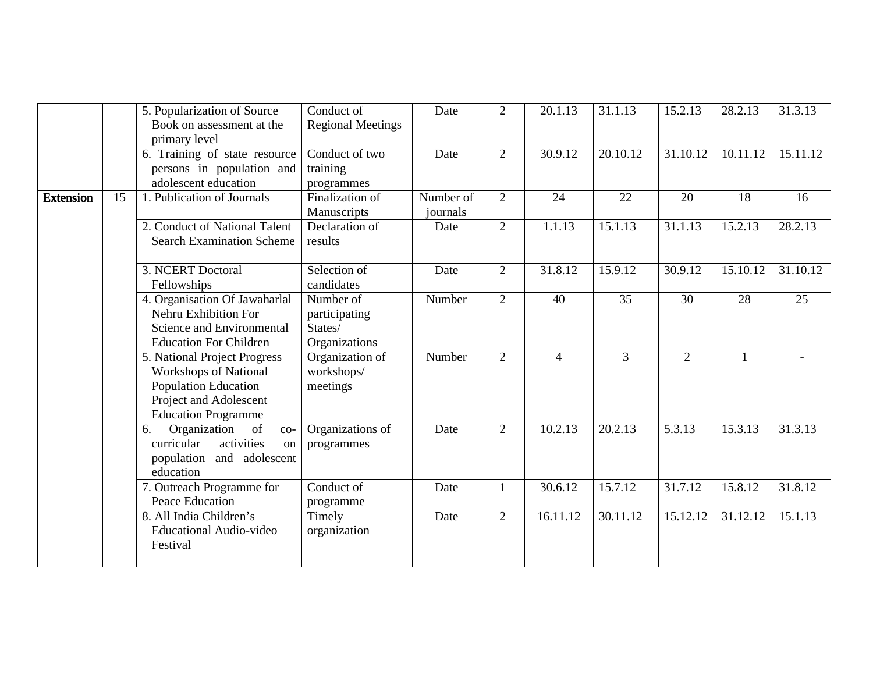|                  |    | 5. Popularization of Source<br>Book on assessment at the                                                                                     | Conduct of<br><b>Regional Meetings</b>                 | Date                  | $\overline{2}$ | 20.1.13        | 31.1.13        | 15.2.13        | 28.2.13  | 31.3.13  |
|------------------|----|----------------------------------------------------------------------------------------------------------------------------------------------|--------------------------------------------------------|-----------------------|----------------|----------------|----------------|----------------|----------|----------|
|                  |    | primary level<br>6. Training of state resource<br>persons in population and<br>adolescent education                                          | Conduct of two<br>training<br>programmes               | Date                  | $\overline{2}$ | 30.9.12        | 20.10.12       | 31.10.12       | 10.11.12 | 15.11.12 |
| <b>Extension</b> | 15 | 1. Publication of Journals                                                                                                                   | Finalization of<br>Manuscripts                         | Number of<br>journals | $\overline{2}$ | 24             | 22             | 20             | 18       | 16       |
|                  |    | 2. Conduct of National Talent<br><b>Search Examination Scheme</b>                                                                            | Declaration of<br>results                              | Date                  | $\overline{2}$ | 1.1.13         | 15.1.13        | 31.1.13        | 15.2.13  | 28.2.13  |
|                  |    | 3. NCERT Doctoral<br>Fellowships                                                                                                             | Selection of<br>candidates                             | Date                  | $\overline{2}$ | 31.8.12        | 15.9.12        | 30.9.12        | 15.10.12 | 31.10.12 |
|                  |    | 4. Organisation Of Jawaharlal<br>Nehru Exhibition For<br>Science and Environmental<br><b>Education For Children</b>                          | Number of<br>participating<br>States/<br>Organizations | Number                | $\overline{2}$ | 40             | 35             | 30             | 28       | 25       |
|                  |    | 5. National Project Progress<br><b>Workshops of National</b><br>Population Education<br>Project and Adolescent<br><b>Education Programme</b> | Organization of<br>workshops/<br>meetings              | Number                | $\overline{2}$ | $\overline{4}$ | $\overline{3}$ | $\overline{2}$ |          |          |
|                  |    | Organization<br>of<br>6.<br>$CO-$<br>activities<br>curricular<br>on<br>and adolescent<br>population<br>education                             | Organizations of<br>programmes                         | Date                  | $\overline{2}$ | 10.2.13        | 20.2.13        | 5.3.13         | 15.3.13  | 31.3.13  |
|                  |    | 7. Outreach Programme for<br>Peace Education                                                                                                 | Conduct of<br>programme                                | Date                  | $\mathbf{1}$   | 30.6.12        | 15.7.12        | 31.7.12        | 15.8.12  | 31.8.12  |
|                  |    | 8. All India Children's<br><b>Educational Audio-video</b><br>Festival                                                                        | Timely<br>organization                                 | Date                  | $\overline{2}$ | 16.11.12       | 30.11.12       | 15.12.12       | 31.12.12 | 15.1.13  |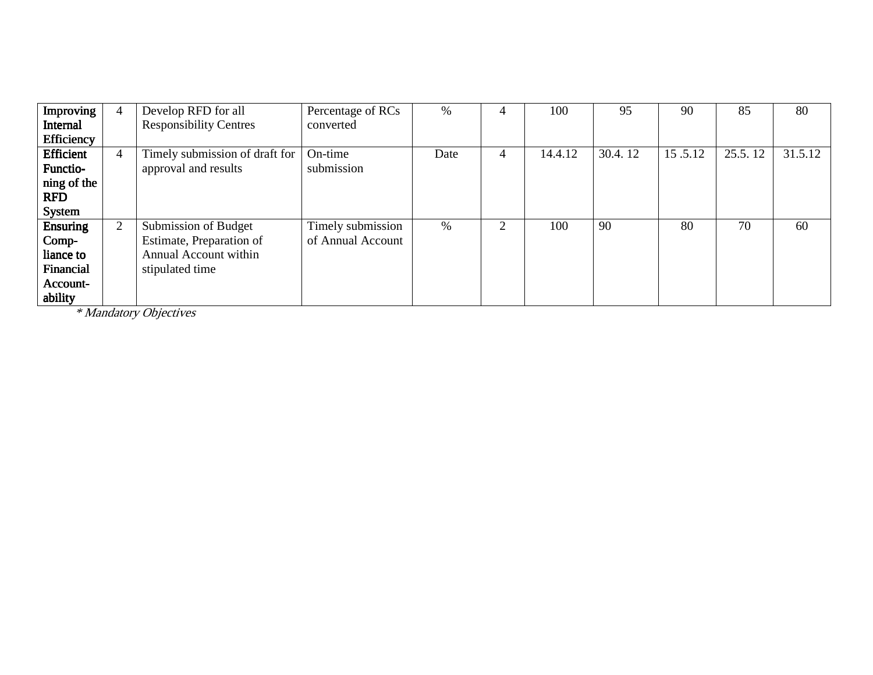| Improving        | 4              | Develop RFD for all            | Percentage of RCs | $\%$ | 4 | 100     | 95      | 90      | 85      | 80      |
|------------------|----------------|--------------------------------|-------------------|------|---|---------|---------|---------|---------|---------|
| Internal         |                | <b>Responsibility Centres</b>  | converted         |      |   |         |         |         |         |         |
| Efficiency       |                |                                |                   |      |   |         |         |         |         |         |
| <b>Efficient</b> | 4              | Timely submission of draft for | On-time           | Date | 4 | 14.4.12 | 30.4.12 | 15.5.12 | 25.5.12 | 31.5.12 |
| Functio-         |                | approval and results           | submission        |      |   |         |         |         |         |         |
| ning of the      |                |                                |                   |      |   |         |         |         |         |         |
| <b>RFD</b>       |                |                                |                   |      |   |         |         |         |         |         |
| System           |                |                                |                   |      |   |         |         |         |         |         |
| <b>Ensuring</b>  | $\overline{2}$ | Submission of Budget           | Timely submission | $\%$ | 2 | 100     | 90      | 80      | 70      | 60      |
| Comp-            |                | Estimate, Preparation of       | of Annual Account |      |   |         |         |         |         |         |
| liance to        |                | Annual Account within          |                   |      |   |         |         |         |         |         |
| Financial        |                | stipulated time                |                   |      |   |         |         |         |         |         |
| Account-         |                |                                |                   |      |   |         |         |         |         |         |
| ability          |                |                                |                   |      |   |         |         |         |         |         |

\* Mandatory Objectives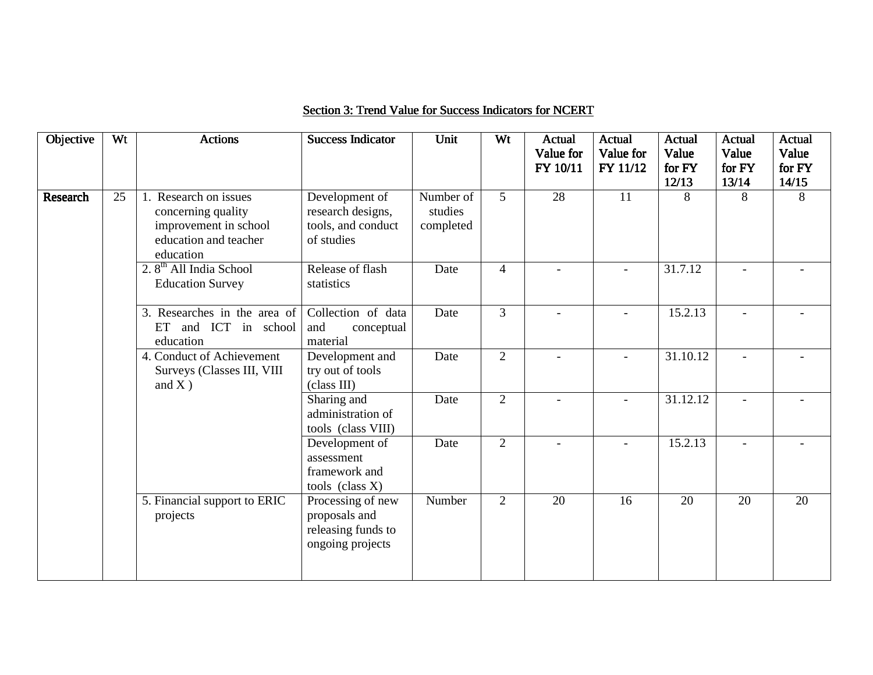| Objective | Wt | <b>Actions</b>                                                                                             | <b>Success Indicator</b>                                                     | Unit                              | Wt             | Actual<br>Value for<br>FY 10/11 | Actual<br>Value for<br>FY 11/12 | <b>Actual</b><br>Value<br>for FY<br>12/13 | Actual<br>Value<br>for FY<br>13/14 | Actual<br>Value<br>for FY<br>14/15 |
|-----------|----|------------------------------------------------------------------------------------------------------------|------------------------------------------------------------------------------|-----------------------------------|----------------|---------------------------------|---------------------------------|-------------------------------------------|------------------------------------|------------------------------------|
| Research  | 25 | 1. Research on issues<br>concerning quality<br>improvement in school<br>education and teacher<br>education | Development of<br>research designs,<br>tools, and conduct<br>of studies      | Number of<br>studies<br>completed | $\mathfrak{S}$ | 28                              | 11                              | 8                                         | 8                                  | 8                                  |
|           |    | $2.8th$ All India School<br><b>Education Survey</b>                                                        | Release of flash<br>statistics                                               | Date                              | $\overline{4}$ |                                 |                                 | 31.7.12                                   |                                    |                                    |
|           |    | 3. Researches in the area of<br>and ICT in school<br>ET<br>education                                       | Collection of data<br>and<br>conceptual<br>material                          | Date                              | $\overline{3}$ | $\overline{a}$                  | $\overline{a}$                  | 15.2.13                                   |                                    |                                    |
|           |    | 4. Conduct of Achievement<br>Surveys (Classes III, VIII<br>and $X$ )                                       | Development and<br>try out of tools<br>(class III)                           | Date                              | $\overline{2}$ |                                 |                                 | 31.10.12                                  |                                    |                                    |
|           |    |                                                                                                            | Sharing and<br>administration of<br>tools (class VIII)                       | Date                              | $\overline{2}$ |                                 |                                 | 31.12.12                                  |                                    |                                    |
|           |    |                                                                                                            | Development of<br>assessment<br>framework and<br>tools (class X)             | Date                              | $\overline{2}$ | $\overline{\phantom{a}}$        | $\sim$                          | 15.2.13                                   | $\sim$                             |                                    |
|           |    | 5. Financial support to ERIC<br>projects                                                                   | Processing of new<br>proposals and<br>releasing funds to<br>ongoing projects | Number                            | $\overline{2}$ | $\overline{20}$                 | 16                              | 20                                        | 20                                 | 20                                 |

### <u>Section 3: Trend Value for Success Indicators for NCERT</u>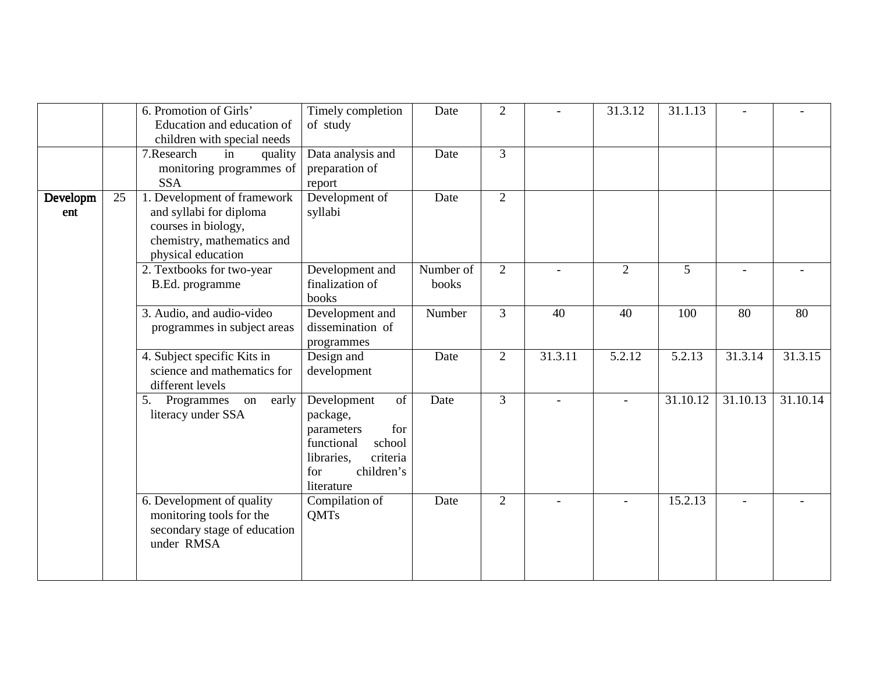|                 |    | 6. Promotion of Girls'<br>Education and education of<br>children with special needs                                               | Timely completion<br>of study                                                                                                           | Date               | 2              |         | 31.3.12        | 31.1.13  |                |          |
|-----------------|----|-----------------------------------------------------------------------------------------------------------------------------------|-----------------------------------------------------------------------------------------------------------------------------------------|--------------------|----------------|---------|----------------|----------|----------------|----------|
|                 |    | 7.Research<br>in<br>quality<br>monitoring programmes of<br><b>SSA</b>                                                             | Data analysis and<br>preparation of<br>report                                                                                           | Date               | $\overline{3}$ |         |                |          |                |          |
| Developm<br>ent | 25 | 1. Development of framework<br>and syllabi for diploma<br>courses in biology,<br>chemistry, mathematics and<br>physical education | Development of<br>syllabi                                                                                                               | Date               | $\overline{2}$ |         |                |          |                |          |
|                 |    | 2. Textbooks for two-year<br>B.Ed. programme                                                                                      | Development and<br>finalization of<br>books                                                                                             | Number of<br>books | $\overline{2}$ |         | $\overline{2}$ | 5        |                |          |
|                 |    | 3. Audio, and audio-video<br>programmes in subject areas                                                                          | Development and<br>dissemination of<br>programmes                                                                                       | Number             | $\overline{3}$ | 40      | 40             | 100      | 80             | 80       |
|                 |    | 4. Subject specific Kits in<br>science and mathematics for<br>different levels                                                    | Design and<br>development                                                                                                               | Date               | 2              | 31.3.11 | 5.2.12         | 5.2.13   | 31.3.14        | 31.3.15  |
|                 |    | 5.<br>Programmes on<br>early<br>literacy under SSA                                                                                | Development<br>of<br>package,<br>for<br>parameters<br>school<br>functional<br>criteria<br>libraries,<br>children's<br>for<br>literature | Date               | $\overline{3}$ |         |                | 31.10.12 | 31.10.13       | 31.10.14 |
|                 |    | 6. Development of quality<br>monitoring tools for the<br>secondary stage of education<br>under RMSA                               | Compilation of<br><b>QMTs</b>                                                                                                           | Date               | 2              |         |                | 15.2.13  | $\blacksquare$ |          |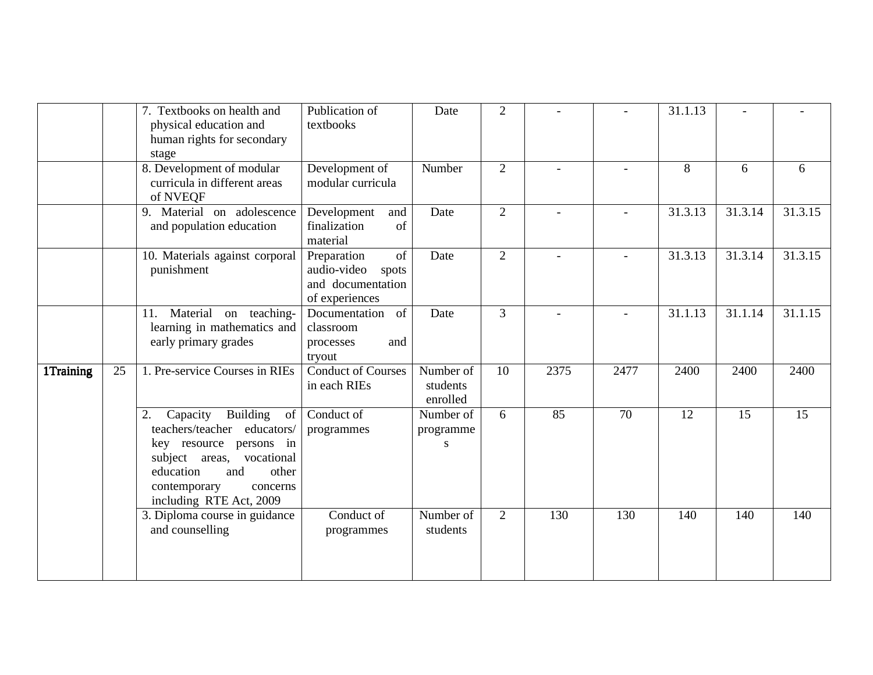|           |    | 7. Textbooks on health and<br>physical education and<br>human rights for secondary<br>stage                                                                                                                 | Publication of<br>textbooks                                                      | Date                              | $\overline{2}$ |      |                | 31.1.13 |         |         |
|-----------|----|-------------------------------------------------------------------------------------------------------------------------------------------------------------------------------------------------------------|----------------------------------------------------------------------------------|-----------------------------------|----------------|------|----------------|---------|---------|---------|
|           |    | 8. Development of modular<br>curricula in different areas<br>of NVEQF                                                                                                                                       | Development of<br>modular curricula                                              | Number                            | $\overline{2}$ |      | $\overline{a}$ | 8       | 6       | 6       |
|           |    | 9. Material on adolescence<br>and population education                                                                                                                                                      | Development<br>and<br>of<br>finalization<br>material                             | Date                              | $\overline{2}$ |      |                | 31.3.13 | 31.3.14 | 31.3.15 |
|           |    | 10. Materials against corporal<br>punishment                                                                                                                                                                | of<br>Preparation<br>audio-video<br>spots<br>and documentation<br>of experiences | Date                              | $\overline{2}$ |      |                | 31.3.13 | 31.3.14 | 31.3.15 |
|           |    | Material on teaching-<br>11.<br>learning in mathematics and<br>early primary grades                                                                                                                         | of<br>Documentation<br>classroom<br>and<br>processes<br>tryout                   | Date                              | $\overline{3}$ |      |                | 31.1.13 | 31.1.14 | 31.1.15 |
| 1Training | 25 | 1. Pre-service Courses in RIEs                                                                                                                                                                              | <b>Conduct of Courses</b><br>in each RIEs                                        | Number of<br>students<br>enrolled | 10             | 2375 | 2477           | 2400    | 2400    | 2400    |
|           |    | Capacity<br>Building<br>2.<br>of<br>teachers/teacher educators/<br>key resource persons in<br>subject areas, vocational<br>other<br>education<br>and<br>contemporary<br>concerns<br>including RTE Act, 2009 | Conduct of<br>programmes                                                         | Number of<br>programme<br>S       | 6              | 85   | 70             | 12      | 15      | 15      |
|           |    | 3. Diploma course in guidance<br>and counselling                                                                                                                                                            | Conduct of<br>programmes                                                         | Number of<br>students             | $\overline{2}$ | 130  | 130            | 140     | 140     | 140     |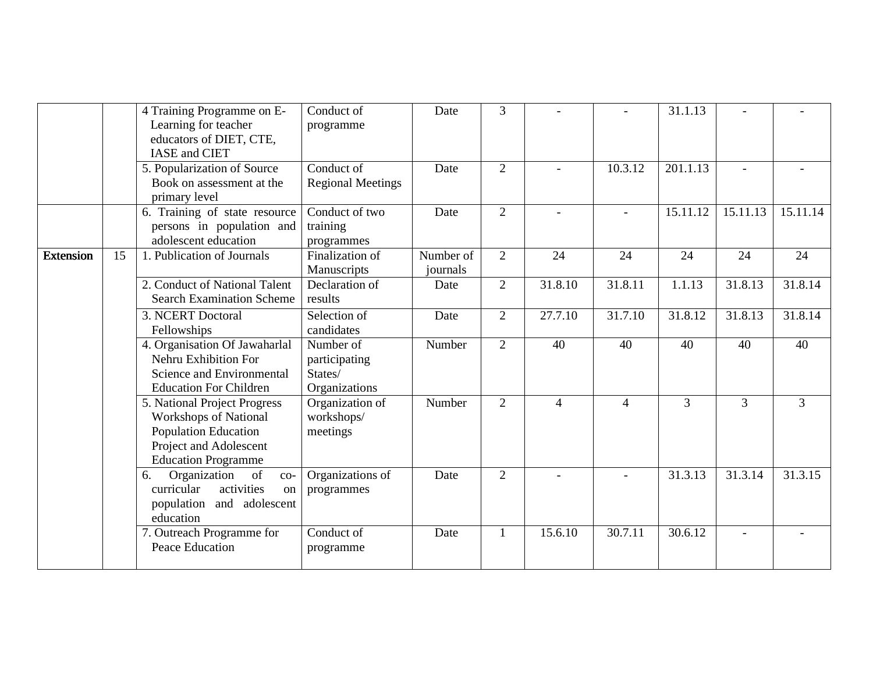|                  |    | 4 Training Programme on E-<br>Learning for teacher<br>educators of DIET, CTE,<br><b>IASE</b> and CIET                                        | Conduct of<br>programme                                | Date                  | $\overline{3}$ |                |                | 31.1.13        |                |                |
|------------------|----|----------------------------------------------------------------------------------------------------------------------------------------------|--------------------------------------------------------|-----------------------|----------------|----------------|----------------|----------------|----------------|----------------|
|                  |    | 5. Popularization of Source<br>Book on assessment at the<br>primary level                                                                    | Conduct of<br><b>Regional Meetings</b>                 | Date                  | $\overline{2}$ |                | 10.3.12        | 201.1.13       |                |                |
|                  |    | 6. Training of state resource<br>persons in population and<br>adolescent education                                                           | Conduct of two<br>training<br>programmes               | Date                  | $\overline{2}$ |                |                | 15.11.12       | 15.11.13       | 15.11.14       |
| <b>Extension</b> | 15 | 1. Publication of Journals                                                                                                                   | Finalization of<br>Manuscripts                         | Number of<br>journals | $\overline{2}$ | 24             | 24             | 24             | 24             | 24             |
|                  |    | 2. Conduct of National Talent<br><b>Search Examination Scheme</b>                                                                            | Declaration of<br>results                              | Date                  | $\overline{2}$ | 31.8.10        | 31.8.11        | 1.1.13         | 31.8.13        | 31.8.14        |
|                  |    | 3. NCERT Doctoral<br>Fellowships                                                                                                             | Selection of<br>candidates                             | Date                  | $\overline{2}$ | 27.7.10        | 31.7.10        | 31.8.12        | 31.8.13        | 31.8.14        |
|                  |    | 4. Organisation Of Jawaharlal<br>Nehru Exhibition For<br>Science and Environmental<br><b>Education For Children</b>                          | Number of<br>participating<br>States/<br>Organizations | Number                | $\overline{2}$ | 40             | 40             | 40             | 40             | 40             |
|                  |    | 5. National Project Progress<br><b>Workshops of National</b><br>Population Education<br>Project and Adolescent<br><b>Education Programme</b> | Organization of<br>workshops/<br>meetings              | Number                | $\overline{2}$ | $\overline{4}$ | $\overline{4}$ | $\overline{3}$ | $\overline{3}$ | $\overline{3}$ |
|                  |    | Organization<br>of<br>6.<br>$_{\rm CO-}$<br>activities<br>curricular<br>on<br>population<br>and adolescent<br>education                      | Organizations of<br>programmes                         | Date                  | $\overline{2}$ |                | $\sim$         | 31.3.13        | 31.3.14        | 31.3.15        |
|                  |    | 7. Outreach Programme for<br>Peace Education                                                                                                 | Conduct of<br>programme                                | Date                  | 1              | 15.6.10        | 30.7.11        | 30.6.12        |                |                |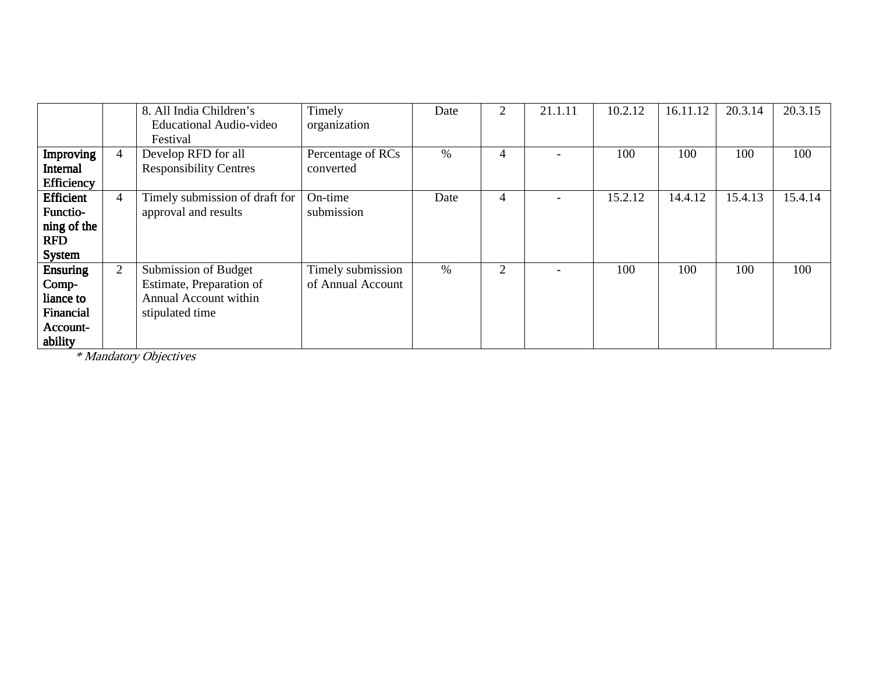|                   |   | 8. All India Children's        | Timely            | Date | $\overline{2}$ | 21.1.11 | 10.2.12 | 16.11.12 | 20.3.14 | 20.3.15 |
|-------------------|---|--------------------------------|-------------------|------|----------------|---------|---------|----------|---------|---------|
|                   |   | <b>Educational Audio-video</b> | organization      |      |                |         |         |          |         |         |
|                   |   | Festival                       |                   |      |                |         |         |          |         |         |
| <b>Improving</b>  | 4 | Develop RFD for all            | Percentage of RCs | $\%$ | $\overline{4}$ |         | 100     | 100      | 100     | 100     |
| Internal          |   | <b>Responsibility Centres</b>  | converted         |      |                |         |         |          |         |         |
| <b>Efficiency</b> |   |                                |                   |      |                |         |         |          |         |         |
| Efficient         | 4 | Timely submission of draft for | On-time           | Date | $\overline{4}$ |         | 15.2.12 | 14.4.12  | 15.4.13 | 15.4.14 |
| Functio-          |   | approval and results           | submission        |      |                |         |         |          |         |         |
| ning of the       |   |                                |                   |      |                |         |         |          |         |         |
| <b>RFD</b>        |   |                                |                   |      |                |         |         |          |         |         |
| <b>System</b>     |   |                                |                   |      |                |         |         |          |         |         |
| <b>Ensuring</b>   | 2 | Submission of Budget           | Timely submission | $\%$ | $\overline{2}$ |         | 100     | 100      | 100     | 100     |
| $Comp-$           |   | Estimate, Preparation of       | of Annual Account |      |                |         |         |          |         |         |
| liance to         |   | Annual Account within          |                   |      |                |         |         |          |         |         |
| Financial         |   | stipulated time                |                   |      |                |         |         |          |         |         |
| Account-          |   |                                |                   |      |                |         |         |          |         |         |
| ability           |   |                                |                   |      |                |         |         |          |         |         |

\* Mandatory Objectives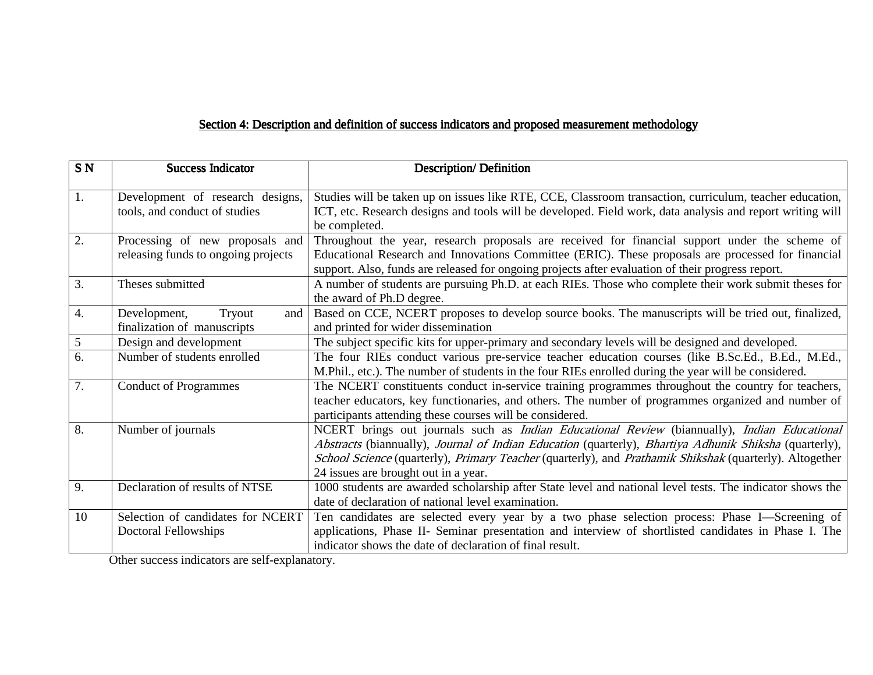# Section 4: Description and definition of success indicators and proposed measurement methodology

| SN <sub></sub> | <b>Success Indicator</b>                                               | <b>Description/Definition</b>                                                                                                                                                                                                                                                                                                                                           |
|----------------|------------------------------------------------------------------------|-------------------------------------------------------------------------------------------------------------------------------------------------------------------------------------------------------------------------------------------------------------------------------------------------------------------------------------------------------------------------|
| 1.             | Development of research designs,<br>tools, and conduct of studies      | Studies will be taken up on issues like RTE, CCE, Classroom transaction, curriculum, teacher education,<br>ICT, etc. Research designs and tools will be developed. Field work, data analysis and report writing will<br>be completed.                                                                                                                                   |
| 2.             | Processing of new proposals and<br>releasing funds to ongoing projects | Throughout the year, research proposals are received for financial support under the scheme of<br>Educational Research and Innovations Committee (ERIC). These proposals are processed for financial<br>support. Also, funds are released for ongoing projects after evaluation of their progress report.                                                               |
| 3.             | Theses submitted                                                       | A number of students are pursuing Ph.D. at each RIEs. Those who complete their work submit theses for<br>the award of Ph.D degree.                                                                                                                                                                                                                                      |
| 4.             | Tryout<br>Development,<br>and<br>finalization of manuscripts           | Based on CCE, NCERT proposes to develop source books. The manuscripts will be tried out, finalized,<br>and printed for wider dissemination                                                                                                                                                                                                                              |
| 5              | Design and development                                                 | The subject specific kits for upper-primary and secondary levels will be designed and developed.                                                                                                                                                                                                                                                                        |
| 6.             | Number of students enrolled                                            | The four RIEs conduct various pre-service teacher education courses (like B.Sc.Ed., B.Ed., M.Ed.,<br>M.Phil., etc.). The number of students in the four RIEs enrolled during the year will be considered.                                                                                                                                                               |
| 7.             | <b>Conduct of Programmes</b>                                           | The NCERT constituents conduct in-service training programmes throughout the country for teachers,<br>teacher educators, key functionaries, and others. The number of programmes organized and number of<br>participants attending these courses will be considered.                                                                                                    |
| 8.             | Number of journals                                                     | NCERT brings out journals such as <i>Indian Educational Review</i> (biannually), <i>Indian Educational</i><br>Abstracts (biannually), Journal of Indian Education (quarterly), Bhartiya Adhunik Shiksha (quarterly),<br>School Science (quarterly), Primary Teacher (quarterly), and Prathamik Shikshak (quarterly). Altogether<br>24 issues are brought out in a year. |
| 9.             | Declaration of results of NTSE                                         | 1000 students are awarded scholarship after State level and national level tests. The indicator shows the<br>date of declaration of national level examination.                                                                                                                                                                                                         |
| 10             | Selection of candidates for NCERT<br>Doctoral Fellowships              | Ten candidates are selected every year by a two phase selection process: Phase I-Screening of<br>applications, Phase II- Seminar presentation and interview of shortlisted candidates in Phase I. The<br>indicator shows the date of declaration of final result.                                                                                                       |

Other success indicators are self-explanatory.